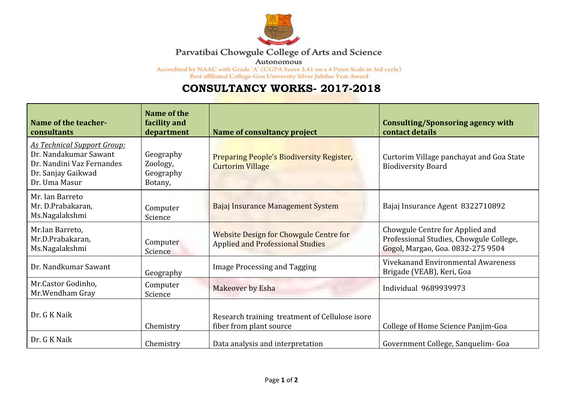

## Parvatibai Chowgule College of Arts and Science

Autonomous

 $\rm{Accredicted~by~NAAC~with~Grade~'A'~(CGPA~Score~3.41~on~a~4~Point~Scale~in~3rd~cycle)}$   $\rm{Best~afflicated~College\mbox{-}Goa~University~Silver~Jubilee~Year~Award}$ 

## **CONSULTANCY WORKS- 2017-2018**

| Name of the teacher-<br>consultants                                                                                             | Name of the<br>facility and<br>department     | Name of consultancy project                                                       | <b>Consulting/Sponsoring agency with</b><br>contact details                                                     |
|---------------------------------------------------------------------------------------------------------------------------------|-----------------------------------------------|-----------------------------------------------------------------------------------|-----------------------------------------------------------------------------------------------------------------|
| <b>As Technical Support Group:</b><br>Dr. Nandakumar Sawant<br>Dr. Nandini Vaz Fernandes<br>Dr. Sanjay Gaikwad<br>Dr. Uma Masur | Geography<br>Zoology,<br>Geography<br>Botany, | Preparing People's Biodiversity Register,<br><b>Curtorim Village</b>              | Curtorim Village panchayat and Goa State<br><b>Biodiversity Board</b>                                           |
| Mr. Ian Barreto<br>Mr. D.Prabakaran,<br>Ms.Nagalakshmi                                                                          | Computer<br>Science                           | Bajaj Insurance Management System                                                 | Bajaj Insurance Agent 8322710892                                                                                |
| Mr.Ian Barreto,<br>Mr.D.Prabakaran,<br>Ms.Nagalakshmi                                                                           | Computer<br><b>Science</b>                    | Website Design for Chowgule Centre for<br><b>Applied and Professional Studies</b> | Chowgule Centre for Applied and<br>Professional Studies, Chowgule College,<br>Gogol, Margao, Goa. 0832-275 9504 |
| Dr. Nandkumar Sawant                                                                                                            | Geography                                     | <b>Image Processing and Tagging</b>                                               | Vivekanand Environmental Awareness<br>Brigade (VEAB), Keri, Goa                                                 |
| Mr.Castor Godinho,<br>Mr. Wendham Gray                                                                                          | Computer<br>Science                           | Makeover by Esha                                                                  | Individual 9689939973                                                                                           |
| Dr. G K Naik                                                                                                                    | Chemistry                                     | Research training treatment of Cellulose isore<br>fiber from plant source         | College of Home Science Panjim-Goa                                                                              |
| Dr. G K Naik                                                                                                                    | Chemistry                                     | Data analysis and interpretation                                                  | Government College, Sanquelim- Goa                                                                              |